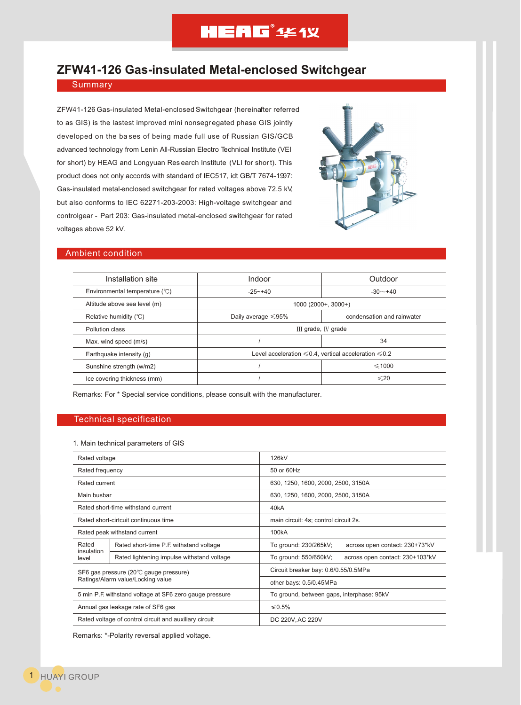# **HEAG**<sup>\*</sup> 444 Y

# **ZFW41-126 Gas-insulated Metal-enclosed Switchgear**

# **Summary**

ZFW41-126 Gas-insulated Metal-enclosed Switchgear (hereinafter referred to as GIS) is the lastest improved mini nonsegr egated phase GIS jointly developed on the ba ses of being made full use of Russian GIS/GCB advanced technology from Lenin All-Russian Electro Technical Institute (VEI for short) by HEAG and Longyuan Res earch Institute (VLI for short). This product does not only accords with standard of IEC517, idt GB/T 7674-1997: Gas-insulated metal-enclosed switchgear for rated voltages above 72.5 kV, but also conforms to IEC 62271-203-2003: High-voltage switchgear and controlgear - Part 203: Gas-insulated metal-enclosed switchgear for rated voltages above 52 kV.



# Ambient condition

| Installation site              | Indoor                                                           | Outdoor                    |
|--------------------------------|------------------------------------------------------------------|----------------------------|
| Environmental temperature (°C) | $-25 - +40$                                                      | $-30 - +40$                |
| Altitude above sea level (m)   | $1000(2000+3000+)$                                               |                            |
| Relative humidity $(°C)$       | Daily average $\leq 95\%$                                        | condensation and rainwater |
| Pollution class                | III grade, IV grade                                              |                            |
| Max. wind speed (m/s)          |                                                                  | 34                         |
| Earthquake intensity (q)       | Level acceleration $\leq 0.4$ , vertical acceleration $\leq 0.2$ |                            |
| Sunshine strength (w/m2)       |                                                                  | $\leq$ 1000                |
| Ice covering thickness (mm)    |                                                                  | $\leq 20$                  |

Remarks: For \* Special service conditions, please consult with the manufacturer.

# Technical specification

### 1. Main technical parameters of GIS

| Rated voltage                                                               |                                            | 126kV                                                    |  |
|-----------------------------------------------------------------------------|--------------------------------------------|----------------------------------------------------------|--|
| Rated frequency                                                             |                                            | 50 or 60Hz                                               |  |
| Rated current                                                               |                                            | 630, 1250, 1600, 2000, 2500, 3150A                       |  |
| Main busbar                                                                 |                                            | 630, 1250, 1600, 2000, 2500, 3150A                       |  |
| Rated short-time withstand current                                          |                                            | 40 <sub>k</sub> A                                        |  |
| Rated short-cirtcuit continuous time                                        |                                            | main circuit: 4s; control circuit 2s.                    |  |
| Rated peak withstand current                                                |                                            | 100 <sub>k</sub> A                                       |  |
| Rated<br>insulation<br>level                                                | Rated short-time P.F. withstand voltage    | To ground: 230/265kV;<br>across open contact: 230+73*kV  |  |
|                                                                             | Rated lightening impulse withstand voltage | To ground: 550/650kV;<br>across open contact: 230+103*kV |  |
| SF6 gas pressure (20°C gauge pressure)<br>Ratings/Alarm value/Locking value |                                            | Circuit breaker bay: 0.6/0.55/0.5MPa                     |  |
|                                                                             |                                            | other bays: 0.5/0.45MPa                                  |  |
| 5 min P.F. withstand voltage at SF6 zero gauge pressure                     |                                            | To ground, between gaps, interphase: 95kV                |  |
| Annual gas leakage rate of SF6 gas                                          |                                            | ≤ $0.5%$                                                 |  |
| Rated voltage of control circuit and auxiliary circuit                      |                                            | DC 220V, AC 220V                                         |  |

Remarks: \*-Polarity reversal applied voltage.